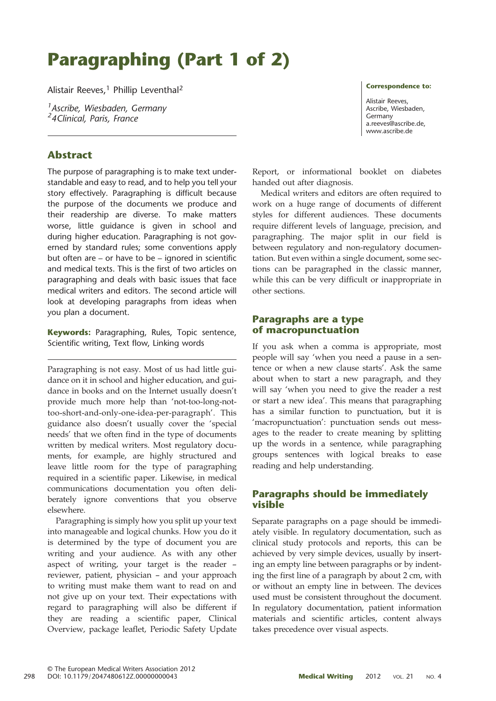# Paragraphing (Part 1 of 2)

Alistair Reeves,<sup>1</sup> Phillip Leventhal<sup>2</sup>

<sup>1</sup> Ascribe, Wiesbaden, Germany *- Ascribe, Wiesbaach, e*<br><sup>2</sup>4Clinical, Paris, France

# Abstract

The purpose of paragraphing is to make text understandable and easy to read, and to help you tell your story effectively. Paragraphing is difficult because the purpose of the documents we produce and their readership are diverse. To make matters worse, little guidance is given in school and during higher education. Paragraphing is not governed by standard rules; some conventions apply but often are – or have to be – ignored in scientific and medical texts. This is the first of two articles on paragraphing and deals with basic issues that face medical writers and editors. The second article will look at developing paragraphs from ideas when you plan a document.

**Keywords:** Paragraphing, Rules, Topic sentence, Scientific writing, Text flow, Linking words

Paragraphing is not easy. Most of us had little guidance on it in school and higher education, and guidance in books and on the Internet usually doesn't provide much more help than 'not-too-long-nottoo-short-and-only-one-idea-per-paragraph'. This guidance also doesn't usually cover the 'special needs' that we often find in the type of documents written by medical writers. Most regulatory documents, for example, are highly structured and leave little room for the type of paragraphing required in a scientific paper. Likewise, in medical communications documentation you often deliberately ignore conventions that you observe elsewhere.

Paragraphing is simply how you split up your text into manageable and logical chunks. How you do it is determined by the type of document you are writing and your audience. As with any other aspect of writing, your target is the reader – reviewer, patient, physician – and your approach to writing must make them want to read on and not give up on your text. Their expectations with regard to paragraphing will also be different if they are reading a scientific paper, Clinical Overview, package leaflet, Periodic Safety Update Correspondence to:

Alistair Reeves, Ascribe, Wiesbaden, Germany [a.reeves@ascribe.de,](mailto:<alt-title alt-title-type=) www.ascribe.de

Report, or informational booklet on diabetes handed out after diagnosis.

Medical writers and editors are often required to work on a huge range of documents of different styles for different audiences. These documents require different levels of language, precision, and paragraphing. The major split in our field is between regulatory and non-regulatory documentation. But even within a single document, some sections can be paragraphed in the classic manner, while this can be very difficult or inappropriate in other sections.

### Paragraphs are a type of macropunctuation

If you ask when a comma is appropriate, most people will say 'when you need a pause in a sentence or when a new clause starts'. Ask the same about when to start a new paragraph, and they will say 'when you need to give the reader a rest or start a new idea'. This means that paragraphing has a similar function to punctuation, but it is 'macropunctuation': punctuation sends out messages to the reader to create meaning by splitting up the words in a sentence, while paragraphing groups sentences with logical breaks to ease reading and help understanding.

# Paragraphs should be immediately visible

Separate paragraphs on a page should be immediately visible. In regulatory documentation, such as clinical study protocols and reports, this can be achieved by very simple devices, usually by inserting an empty line between paragraphs or by indenting the first line of a paragraph by about 2 cm, with or without an empty line in between. The devices used must be consistent throughout the document. In regulatory documentation, patient information materials and scientific articles, content always takes precedence over visual aspects.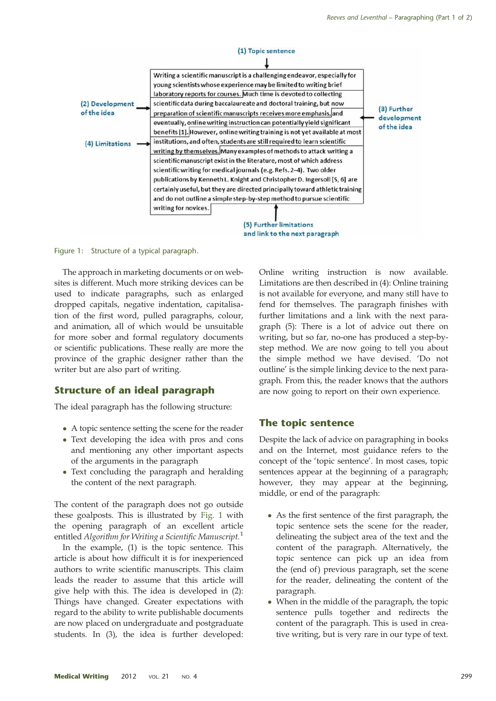

Figure 1: Structure of a typical paragraph.

The approach in marketing documents or on websites is different. Much more striking devices can be used to indicate paragraphs, such as enlarged dropped capitals, negative indentation, capitalisation of the first word, pulled paragraphs, colour, and animation, all of which would be unsuitable for more sober and formal regulatory documents or scientific publications. These really are more the province of the graphic designer rather than the writer but are also part of writing.

#### Structure of an ideal paragraph

The ideal paragraph has the following structure:

- A topic sentence setting the scene for the reader
- Text developing the idea with pros and cons and mentioning any other important aspects of the arguments in the paragraph
- Text concluding the paragraph and heralding the content of the next paragraph.

The content of the paragraph does not go outside these goalposts. This is illustrated by Fig. 1 with the opening paragraph of an excellent article entitled Algorithm for Writing a Scientific Manuscript.<sup>[1](#page-6-0)</sup>

In the example, (1) is the topic sentence. This article is about how difficult it is for inexperienced authors to write scientific manuscripts. This claim leads the reader to assume that this article will give help with this. The idea is developed in (2): Things have changed. Greater expectations with regard to the ability to write publishable documents are now placed on undergraduate and postgraduate students. In (3), the idea is further developed: Online writing instruction is now available. Limitations are then described in (4): Online training is not available for everyone, and many still have to fend for themselves. The paragraph finishes with further limitations and a link with the next paragraph (5): There is a lot of advice out there on writing, but so far, no-one has produced a step-bystep method. We are now going to tell you about the simple method we have devised. 'Do not outline' is the simple linking device to the next paragraph. From this, the reader knows that the authors are now going to report on their own experience.

#### The topic sentence

Despite the lack of advice on paragraphing in books and on the Internet, most guidance refers to the concept of the 'topic sentence'. In most cases, topic sentences appear at the beginning of a paragraph; however, they may appear at the beginning, middle, or end of the paragraph:

- As the first sentence of the first paragraph, the topic sentence sets the scene for the reader, delineating the subject area of the text and the content of the paragraph. Alternatively, the topic sentence can pick up an idea from the (end of) previous paragraph, set the scene for the reader, delineating the content of the paragraph.
- When in the middle of the paragraph, the topic sentence pulls together and redirects the content of the paragraph. This is used in creative writing, but is very rare in our type of text.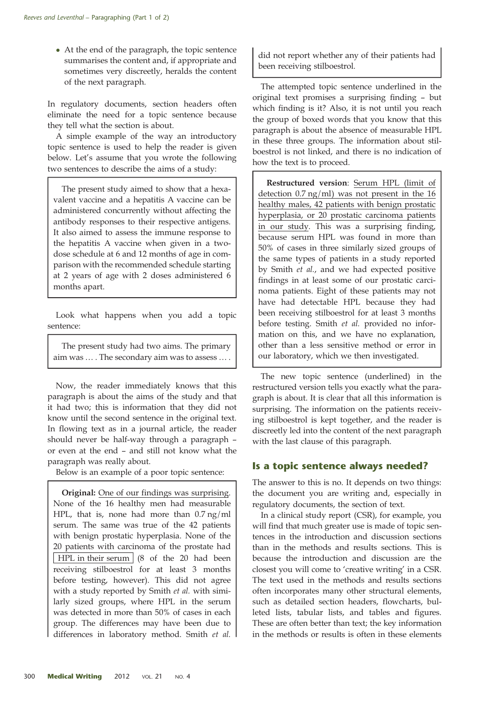• At the end of the paragraph, the topic sentence summarises the content and, if appropriate and sometimes very discreetly, heralds the content of the next paragraph.

In regulatory documents, section headers often eliminate the need for a topic sentence because they tell what the section is about.

A simple example of the way an introductory topic sentence is used to help the reader is given below. Let's assume that you wrote the following two sentences to describe the aims of a study:

The present study aimed to show that a hexavalent vaccine and a hepatitis A vaccine can be administered concurrently without affecting the antibody responses to their respective antigens. It also aimed to assess the immune response to the hepatitis A vaccine when given in a twodose schedule at 6 and 12 months of age in comparison with the recommended schedule starting at 2 years of age with 2 doses administered 6 months apart.

Look what happens when you add a topic sentence:

The present study had two aims. The primary aim was … . The secondary aim was to assess … .

Now, the reader immediately knows that this paragraph is about the aims of the study and that it had two; this is information that they did not know until the second sentence in the original text. In flowing text as in a journal article, the reader should never be half-way through a paragraph – or even at the end – and still not know what the paragraph was really about.

Below is an example of a poor topic sentence:

Original: One of our findings was surprising. None of the 16 healthy men had measurable HPL, that is, none had more than 0.7 ng/ml serum. The same was true of the 42 patients with benign prostatic hyperplasia. None of the 20 patients with carcinoma of the prostate had | HPL in their serum | (8 of the 20 had been receiving stilboestrol for at least 3 months before testing, however). This did not agree with a study reported by Smith et al. with similarly sized groups, where HPL in the serum was detected in more than 50% of cases in each group. The differences may have been due to differences in laboratory method. Smith et al. did not report whether any of their patients had been receiving stilboestrol.

The attempted topic sentence underlined in the original text promises a surprising finding – but which finding is it? Also, it is not until you reach the group of boxed words that you know that this paragraph is about the absence of measurable HPL in these three groups. The information about stilboestrol is not linked, and there is no indication of how the text is to proceed.

Restructured version: Serum HPL (limit of detection 0.7 ng/ml) was not present in the 16 healthy males, 42 patients with benign prostatic hyperplasia, or 20 prostatic carcinoma patients in our study. This was a surprising finding, because serum HPL was found in more than 50% of cases in three similarly sized groups of the same types of patients in a study reported by Smith et al., and we had expected positive findings in at least some of our prostatic carcinoma patients. Eight of these patients may not have had detectable HPL because they had been receiving stilboestrol for at least 3 months before testing. Smith et al. provided no information on this, and we have no explanation, other than a less sensitive method or error in our laboratory, which we then investigated.

The new topic sentence (underlined) in the restructured version tells you exactly what the paragraph is about. It is clear that all this information is surprising. The information on the patients receiving stilboestrol is kept together, and the reader is discreetly led into the content of the next paragraph with the last clause of this paragraph.

# Is a topic sentence always needed?

The answer to this is no. It depends on two things: the document you are writing and, especially in regulatory documents, the section of text.

In a clinical study report (CSR), for example, you will find that much greater use is made of topic sentences in the introduction and discussion sections than in the methods and results sections. This is because the introduction and discussion are the closest you will come to 'creative writing' in a CSR. The text used in the methods and results sections often incorporates many other structural elements, such as detailed section headers, flowcharts, bulleted lists, tabular lists, and tables and figures. These are often better than text; the key information in the methods or results is often in these elements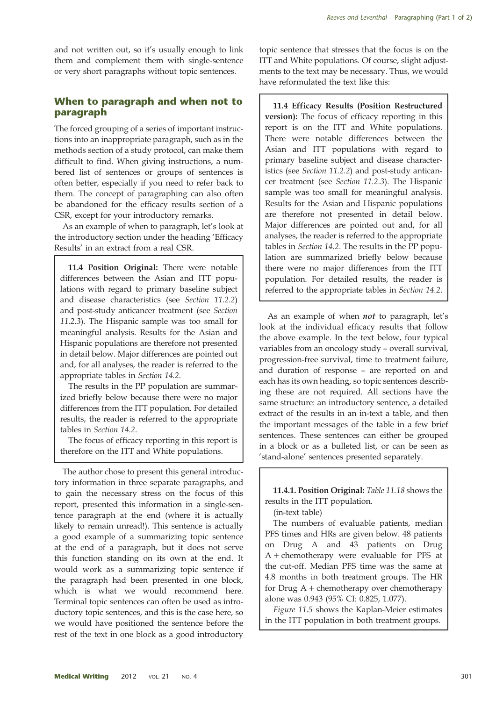and not written out, so it's usually enough to link them and complement them with single-sentence or very short paragraphs without topic sentences.

# When to paragraph and when not to paragraph

The forced grouping of a series of important instructions into an inappropriate paragraph, such as in the methods section of a study protocol, can make them difficult to find. When giving instructions, a numbered list of sentences or groups of sentences is often better, especially if you need to refer back to them. The concept of paragraphing can also often be abandoned for the efficacy results section of a CSR, except for your introductory remarks.

As an example of when to paragraph, let's look at the introductory section under the heading 'Efficacy Results' in an extract from a real CSR.

11.4 Position Original: There were notable differences between the Asian and ITT populations with regard to primary baseline subject and disease characteristics (see Section 11.2.2) and post-study anticancer treatment (see Section 11.2.3). The Hispanic sample was too small for meaningful analysis. Results for the Asian and Hispanic populations are therefore not presented in detail below. Major differences are pointed out and, for all analyses, the reader is referred to the appropriate tables in Section 14.2.

The results in the PP population are summarized briefly below because there were no major differences from the ITT population. For detailed results, the reader is referred to the appropriate tables in Section 14.2.

The focus of efficacy reporting in this report is therefore on the ITT and White populations.

The author chose to present this general introductory information in three separate paragraphs, and to gain the necessary stress on the focus of this report, presented this information in a single-sentence paragraph at the end (where it is actually likely to remain unread!). This sentence is actually a good example of a summarizing topic sentence at the end of a paragraph, but it does not serve this function standing on its own at the end. It would work as a summarizing topic sentence if the paragraph had been presented in one block, which is what we would recommend here. Terminal topic sentences can often be used as introductory topic sentences, and this is the case here, so we would have positioned the sentence before the rest of the text in one block as a good introductory topic sentence that stresses that the focus is on the ITT and White populations. Of course, slight adjustments to the text may be necessary. Thus, we would have reformulated the text like this:

11.4 Efficacy Results (Position Restructured version): The focus of efficacy reporting in this report is on the ITT and White populations. There were notable differences between the Asian and ITT populations with regard to primary baseline subject and disease characteristics (see Section 11.2.2) and post-study anticancer treatment (see Section 11.2.3). The Hispanic sample was too small for meaningful analysis. Results for the Asian and Hispanic populations are therefore not presented in detail below. Major differences are pointed out and, for all analyses, the reader is referred to the appropriate tables in Section 14.2. The results in the PP population are summarized briefly below because there were no major differences from the ITT population. For detailed results, the reader is referred to the appropriate tables in Section 14.2.

As an example of when not to paragraph, let's look at the individual efficacy results that follow the above example. In the text below, four typical variables from an oncology study – overall survival, progression-free survival, time to treatment failure, and duration of response – are reported on and each has its own heading, so topic sentences describing these are not required. All sections have the same structure: an introductory sentence, a detailed extract of the results in an in-text a table, and then the important messages of the table in a few brief sentences. These sentences can either be grouped in a block or as a bulleted list, or can be seen as 'stand-alone' sentences presented separately.

11.4.1. Position Original: Table 11.18 shows the results in the ITT population.

(in-text table)

The numbers of evaluable patients, median PFS times and HRs are given below. 48 patients on Drug A and 43 patients on Drug A + chemotherapy were evaluable for PFS at the cut-off. Median PFS time was the same at 4.8 months in both treatment groups. The HR for Drug  $A$  + chemotherapy over chemotherapy alone was 0.943 (95% CI: 0.825, 1.077).

Figure 11.5 shows the Kaplan-Meier estimates in the ITT population in both treatment groups.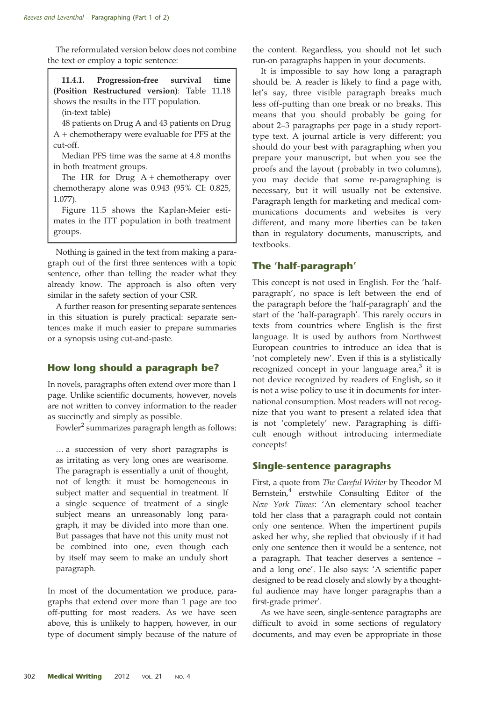The reformulated version below does not combine the text or employ a topic sentence:

11.4.1. Progression-free survival time (Position Restructured version): Table 11.18 shows the results in the ITT population.

(in-text table)

48 patients on Drug A and 43 patients on Drug A + chemotherapy were evaluable for PFS at the cut-off.

Median PFS time was the same at 4.8 months in both treatment groups.

The HR for Drug  $A +$  chemotherapy over chemotherapy alone was 0.943 (95% CI: 0.825, 1.077).

Figure 11.5 shows the Kaplan-Meier estimates in the ITT population in both treatment groups.

Nothing is gained in the text from making a paragraph out of the first three sentences with a topic sentence, other than telling the reader what they already know. The approach is also often very similar in the safety section of your CSR.

A further reason for presenting separate sentences in this situation is purely practical: separate sentences make it much easier to prepare summaries or a synopsis using cut-and-paste.

# How long should a paragraph be?

In novels, paragraphs often extend over more than 1 page. Unlike scientific documents, however, novels are not written to convey information to the reader as succinctly and simply as possible.

Fowler<sup>[2](#page-6-0)</sup> summarizes paragraph length as follows:

… a succession of very short paragraphs is as irritating as very long ones are wearisome. The paragraph is essentially a unit of thought, not of length: it must be homogeneous in subject matter and sequential in treatment. If a single sequence of treatment of a single subject means an unreasonably long paragraph, it may be divided into more than one. But passages that have not this unity must not be combined into one, even though each by itself may seem to make an unduly short paragraph.

In most of the documentation we produce, paragraphs that extend over more than 1 page are too off-putting for most readers. As we have seen above, this is unlikely to happen, however, in our type of document simply because of the nature of

the content. Regardless, you should not let such run-on paragraphs happen in your documents.

It is impossible to say how long a paragraph should be. A reader is likely to find a page with, let's say, three visible paragraph breaks much less off-putting than one break or no breaks. This means that you should probably be going for about 2–3 paragraphs per page in a study reporttype text. A journal article is very different; you should do your best with paragraphing when you prepare your manuscript, but when you see the proofs and the layout (probably in two columns), you may decide that some re-paragraphing is necessary, but it will usually not be extensive. Paragraph length for marketing and medical communications documents and websites is very different, and many more liberties can be taken than in regulatory documents, manuscripts, and textbooks.

# The 'half-paragraph'

This concept is not used in English. For the 'halfparagraph', no space is left between the end of the paragraph before the 'half-paragraph' and the start of the 'half-paragraph'. This rarely occurs in texts from countries where English is the first language. It is used by authors from Northwest European countries to introduce an idea that is 'not completely new'. Even if this is a stylistically recognized concept in your language area, $3$  it is not device recognized by readers of English, so it is not a wise policy to use it in documents for international consumption. Most readers will not recognize that you want to present a related idea that is not 'completely' new. Paragraphing is difficult enough without introducing intermediate concepts!

# Single-sentence paragraphs

First, a quote from The Careful Writer by Theodor M Bernstein,<sup>[4](#page-6-0)</sup> erstwhile Consulting Editor of the New York Times: 'An elementary school teacher told her class that a paragraph could not contain only one sentence. When the impertinent pupils asked her why, she replied that obviously if it had only one sentence then it would be a sentence, not a paragraph. That teacher deserves a sentence – and a long one'. He also says: 'A scientific paper designed to be read closely and slowly by a thoughtful audience may have longer paragraphs than a first-grade primer'.

As we have seen, single-sentence paragraphs are difficult to avoid in some sections of regulatory documents, and may even be appropriate in those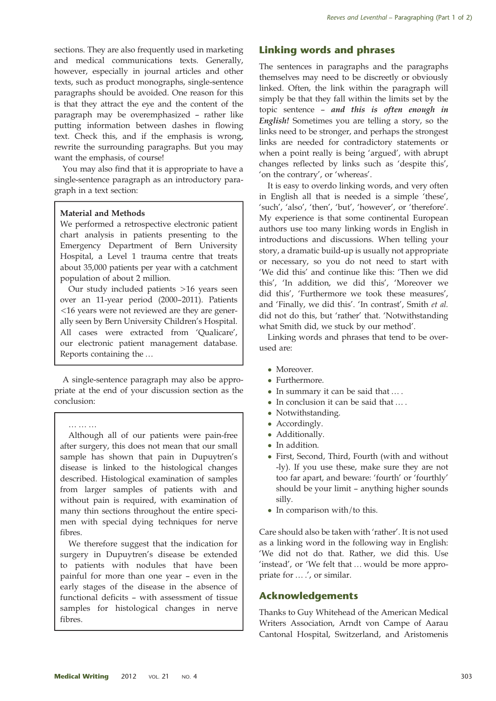sections. They are also frequently used in marketing and medical communications texts. Generally, however, especially in journal articles and other texts, such as product monographs, single-sentence paragraphs should be avoided. One reason for this is that they attract the eye and the content of the paragraph may be overemphasized – rather like putting information between dashes in flowing text. Check this, and if the emphasis is wrong, rewrite the surrounding paragraphs. But you may want the emphasis, of course!

You may also find that it is appropriate to have a single-sentence paragraph as an introductory paragraph in a text section:

#### Material and Methods

We performed a retrospective electronic patient chart analysis in patients presenting to the Emergency Department of Bern University Hospital, a Level 1 trauma centre that treats about 35,000 patients per year with a catchment population of about 2 million.

Our study included patients >16 years seen over an 11-year period (2000–2011). Patients <16 years were not reviewed are they are generally seen by Bern University Children's Hospital. All cases were extracted from 'Qualicare', our electronic patient management database. Reports containing the …

A single-sentence paragraph may also be appropriate at the end of your discussion section as the conclusion:

………

Although all of our patients were pain-free after surgery, this does not mean that our small sample has shown that pain in Dupuytren's disease is linked to the histological changes described. Histological examination of samples from larger samples of patients with and without pain is required, with examination of many thin sections throughout the entire specimen with special dying techniques for nerve fibres.

We therefore suggest that the indication for surgery in Dupuytren's disease be extended to patients with nodules that have been painful for more than one year – even in the early stages of the disease in the absence of functional deficits – with assessment of tissue samples for histological changes in nerve fibres.

# Linking words and phrases

The sentences in paragraphs and the paragraphs themselves may need to be discreetly or obviously linked. Often, the link within the paragraph will simply be that they fall within the limits set by the topic sentence – and this is often enough in English! Sometimes you are telling a story, so the links need to be stronger, and perhaps the strongest links are needed for contradictory statements or when a point really is being 'argued', with abrupt changes reflected by links such as 'despite this', 'on the contrary', or 'whereas'.

It is easy to overdo linking words, and very often in English all that is needed is a simple 'these', 'such', 'also', 'then', 'but', 'however', or 'therefore'. My experience is that some continental European authors use too many linking words in English in introductions and discussions. When telling your story, a dramatic build-up is usually not appropriate or necessary, so you do not need to start with 'We did this' and continue like this: 'Then we did this', 'In addition, we did this', 'Moreover we did this', 'Furthermore we took these measures', and 'Finally, we did this'. 'In contrast', Smith et al. did not do this, but 'rather' that. 'Notwithstanding what Smith did, we stuck by our method'.

Linking words and phrases that tend to be overused are:

- Moreover.
- Furthermore.
- In summary it can be said that … .
- In conclusion it can be said that … .
- Notwithstanding.
- Accordingly.
- Additionally.
- In addition.
- First, Second, Third, Fourth (with and without -ly). If you use these, make sure they are not too far apart, and beware: 'fourth' or 'fourthly' should be your limit – anything higher sounds silly.
- In comparison with/to this.

Care should also be taken with 'rather'. It is not used as a linking word in the following way in English: 'We did not do that. Rather, we did this. Use 'instead', or 'We felt that … would be more appropriate for … .', or similar.

#### Acknowledgements

Thanks to Guy Whitehead of the American Medical Writers Association, Arndt von Campe of Aarau Cantonal Hospital, Switzerland, and Aristomenis